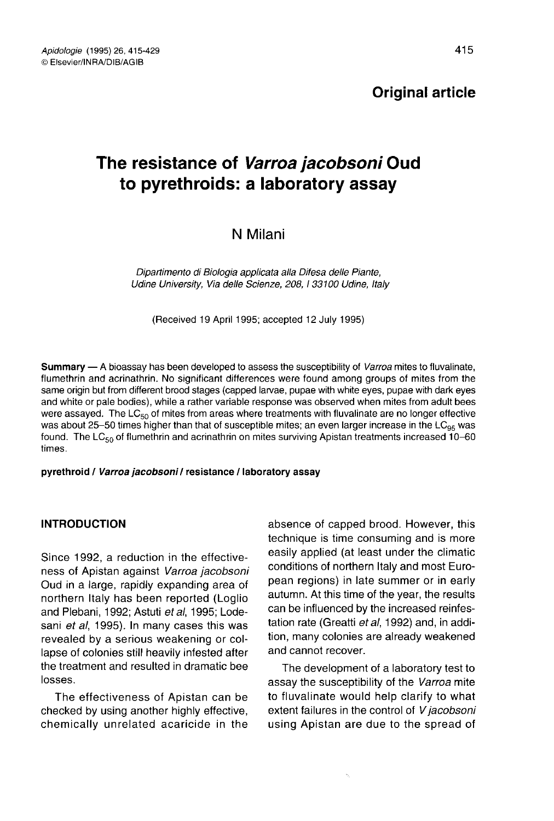# The resistance of Varroa jacobsoni Oud to pyrethroids: a laboratory assay

## N Milani

Dipartimento di Biologia applicata alla Difesa delle Piante, Udine University, Via delle Scienze, 208, I 33100 Udine, Italy

(Received 19 April 1995; accepted 12 July 1995)

Summary — A bioassay has been developed to assess the susceptibility of Varroa mites to fluvalinate, flumethrin and acrinathrin. No significant differences were found among groups of mites from the same origin but from different brood stages (capped larvae, pupae with white eyes, pupae with dark eyes and white or pale bodies), while a rather variable response was observed when mites from adult bees were assayed. The  $LC_{50}$  of mites from areas where treatments with fluvalinate are no longer effective was about 25-50 times higher than that of susceptible mites; an even larger increase in the LC $_{95}$  was found. The LC<sub>50</sub> of flumethrin and acrinathrin on mites surviving Apistan treatments increased 10-60 times.

#### pyrethroid / Varroa jacobsoni / resistance / laboratory assay

## INTRODUCTION

Since 1992, a reduction in the effectiveness of Apistan against Varroa jacobsoni Oud in a large, rapidly expanding area of northern Italy has been reported (Loglio and Plebani, 1992; Astuti et al, 1995; Lodesani et al, 1995). In many cases this was revealed by a serious weakening or collapse of colonies still heavily infested after the treatment and resulted in dramatic bee losses.

The effectiveness of Apistan can be checked by using another highly effective, chemically unrelated acaricide in the

absence of capped brood. However, this technique is time consuming and is more easily applied (at least under the climatic conditions of northern Italy and most European regions) in late summer or in early autumn. At this time of the year, the results can be influenced by the increased reinfestation rate (Greatti et al, 1992) and, in addition, many colonies are already weakened and cannot recover.

The development of a laboratory test to assay the susceptibility of the Varroa mite to fluvalinate would help clarify to what extent failures in the control of V jacobsoni using Apistan are due to the spread of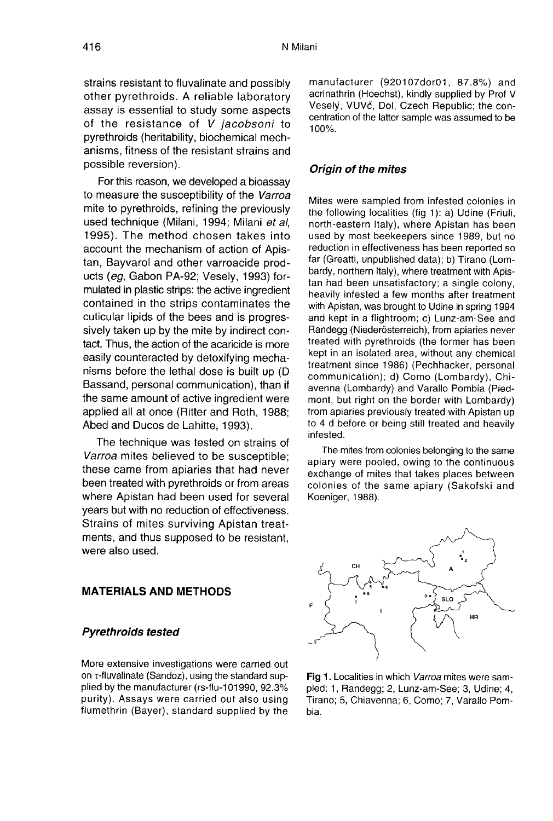strains resistant to fluvalinate and possibly other pyrethroids. A reliable laboratory assay is essential to study some aspects of the resistance of V jacobsoni to pyrethroids (heritability, biochemical mechanisms, fitness of the resistant strains and possible reversion).

For this reason, we developed a bioassay to measure the susceptibility of the Varroa mite to pyrethroids, refining the previously used technique (Milani, 1994; Milani et al, 1995). The method chosen takes into account the mechanism of action of Apistan, Bayvarol and other varroacide products (eg, Gabon PA-92; Vesely, 1993) formulated in plastic strips: the active ingredient contained in the strips contaminates the cuticular lipids of the bees and is progressively taken up by the mite by indirect contact. Thus, the action of the acaricide is more easily counteracted by detoxifying mechanisms before the lethal dose is built up (D Bassand, personal communication), than if the same amount of active ingredient were applied all at once (Ritter and Roth, 1988; Abed and Ducos de Lahitte, 1993).

The technique was tested on strains of Varroa mites believed to be susceptible; these came from apiaries that had never been treated with pyrethroids or from areas where Apistan had been used for several years but with no reduction of effectiveness. Strains of mites surviving Apistan treatments, and thus supposed to be resistant, were also used.

## MATERIALS AND METHODS

#### Pyrethroids tested

More extensive investigations were carried out on τ-fluvalinate (Sandoz), using the standard supplied by the manufacturer (rs-flu-101990, 92.3% purity). Assays were carried out also using flumethrin (Bayer), standard supplied by the manufacturer (920107dor01, 87.8%) and acrinathrin (Hoechst), kindly supplied by Prof V Vesely, VUV&, Dol, Czech Republic; the concentration of the latter sample was assumed to be 100%.

## Origin of the mites

Mites were sampled from infested colonies in the following localities (fig 1): a) Udine (Friuli, north-eastern Italy), where Apistan has been used by most beekeepers since 1989, but no reduction in effectiveness has been reported so far (Greatti, unpublished data); b) Tirano (Lombardy, northern Italy), where treatment with Apis tan had been unsatisfactory; a single colony, heavily infested a few months after treatment with Apistan, was brought to Udine in spring 1994 and kept in a flightroom; c) Lunz-am-See and Randegg (Niederösterreich), from apiaries never treated with pyrethroids (the former has been kept in an isolated area, without any chemical treatment since 1986) (Pechhacker, personal communication); d) Como (Lombardy), Chiavenna (Lombardy) and Varallo Pombia (Piedmont, but right on the border with Lombardy) from apiaries previously treated with Apistan up to 4 d before or being still treated and heavily infested.

The mites from colonies belonging to the same apiary were pooled, owing to the continuous exchange of mites that takes places between colonies of the same apiary (Sakofski and Koeniger, 1988).



Fig 1. Localities in which Varroa mites were sampled: 1, Randegg; 2, Lunz-am-See; 3, Udine; 4, Tirano; 5, Chiavenna; 6, Como; 7, Varallo Pombia.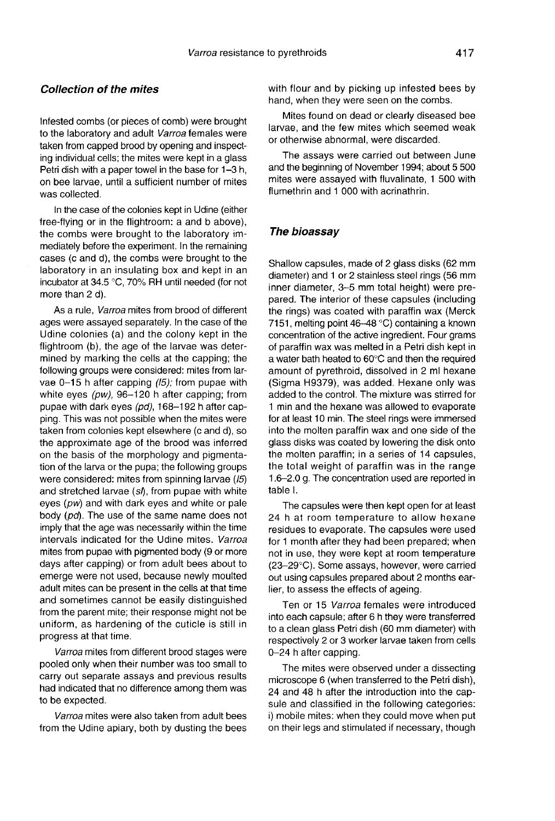#### Collection of the mites

Infested combs (or pieces of comb) were brought to the laboratory and adult Varroa females were taken from capped brood by opening and inspecting individual cells; the mites were kept in a glass Petri dish with a paper towel in the base for 1-3 h, on bee larvae, until a sufficient number of mites was collected.

In the case of the colonies kept in Udine (either free-flying or in the flightroom: a and b above), the combs were brought to the laboratory immediately before the experiment. In the remaining cases (c and d), the combs were brought to the laboratory in an insulating box and kept in an incubator at 34.5 °C, 70% RH until needed (for not more than 2 d).

As a rule, Varroa mites from brood of different ages were assayed separately. In the case of the Udine colonies (a) and the colony kept in the flightroom (b), the age of the larvae was determined by marking the cells at the capping; the following groups were considered: mites from larvae 0-15 h after capping (I5); from pupae with white eyes (pw), 96-120 h after capping; from pupae with dark eyes (pd), 168-192 h after capping. This was not possible when the mites were taken from colonies kept elsewhere (c and d), so the approximate age of the brood was inferred on the basis of the morphology and pigmentation of the larva or the pupa; the following groups were considered: mites from spinning larvae (/5) and stretched larvae  $(s)$ , from pupae with white eyes (pw) and with dark eyes and white or pale body (pd). The use of the same name does not imply that the age was necessarily within the time intervals indicated for the Udine mites. Varroa mites from pupae with pigmented body (9 or more days after capping) or from adult bees about to emerge were not used, because newly moulted adult mites can be present in the cells at that time and sometimes cannot be easily distinguished from the parent mite; their response might not be uniform, as hardening of the cuticle is still in progress at that time.

Varroa mites from different brood stages were pooled only when their number was too small to carry out separate assays and previous results had indicated that no difference among them was to be expected.

Varroa mites were also taken from adult bees from the Udine apiary, both by dusting the bees with flour and by picking up infested bees by hand, when they were seen on the combs.

Mites found on dead or clearly diseased bee larvae, and the few mites which seemed weak or otherwise abnormal, were discarded.

The assays were carried out between June and the beginning of November 1994; about 5 500 mites were assayed with fluvalinate, 1 500 with flumethrin and 1 000 with acrinathrin.

## The bioassay

Shallow capsules, made of 2 glass disks (62 mm diameter) and 1 or 2 stainless steel rings (56 mm inner diameter, 3-5 mm total height) were prepared. The interior of these capsules (including the rings) was coated with paraffin wax (Merck 7151, melting point 46-48 °C) containing a known concentration of the active ingredient. Four grams of paraffin wax was melted in a Petri dish kept in a water bath heated to 60°C and then the required amount of pyrethroid, dissolved in 2 ml hexane (Sigma H9379), was added. Hexane only was added to the control. The mixture was stirred for 1 min and the hexane was allowed to evaporate for at least 10 min. The steel rings were immersed into the molten paraffin wax and one side of the glass disks was coated by lowering the disk onto the molten paraffin; in a series of 14 capsules, the total weight of paraffin was in the range 1.6-2.0 g. The concentration used are reported in table I.

The capsules were then kept open for at least 24 h at room temperature to allow hexane residues to evaporate. The capsules were used for 1 month after they had been prepared; when not in use, they were kept at room temperature (23-29°C). Some assays, however, were carried out using capsules prepared about 2 months earlier, to assess the effects of ageing.

Ten or 15 Varroa females were introduced into each capsule; after 6 h they were transferred to a clean glass Petri dish (60 mm diameter) with respectively 2 or 3 worker larvae taken from cells 0-24 h after capping.

The mites were observed under a dissecting microscope 6 (when transferred to the Petri dish), 24 and 48 h after the introduction into the capsule and classified in the following categories: i) mobile mites: when they could move when put on their legs and stimulated if necessary, though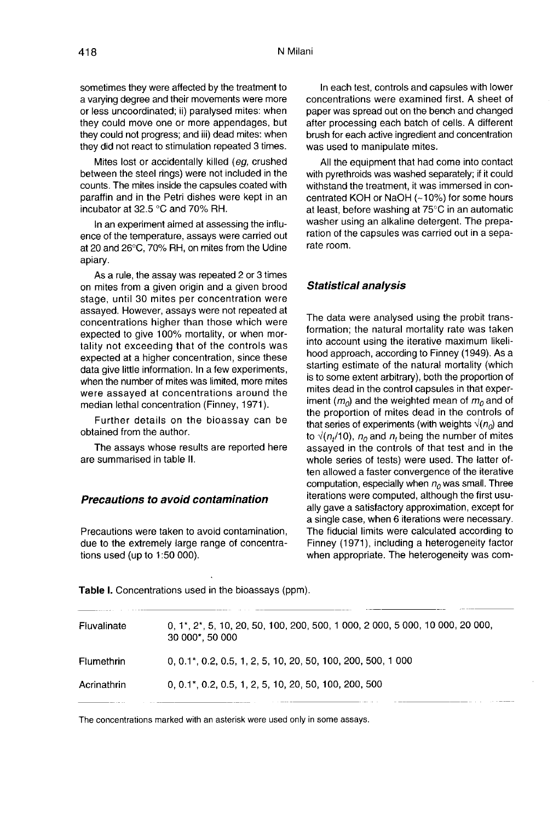sometimes they were affected by the treatment to a varying degree and their movements were more or less uncoordinated; ii) paralysed mites: when they could move one or more appendages, but they could not progress; and iii) dead mites: when they did not react to stimulation repeated 3 times.

Mites lost or accidentally killed (eg, crushed between the steel rings) were not included in the counts. The mites inside the capsules coated with paraffin and in the Petri dishes were kept in an incubator at 32.5 °C and 70% RH.

In an experiment aimed at assessing the influence of the temperature, assays were carried out at 20 and 26°C, 70% RH, on mites from the Udine apiary.

As a rule, the assay was repeated 2 or 3 times on mites from a given origin and a given brood stage, until 30 mites per concentration were assayed. However, assays were not repeated at concentrations higher than those which were expected to give 100% mortality, or when mortality not exceeding that of the controls was expected at a higher concentration, since these data give little information. In a few experiments, when the number of mites was limited, more mites were assayed at concentrations around the median lethal concentration (Finney, 1971).

Further details on the bioassay can be obtained from the author.

The assays whose results are reported here are summarised in table II.

#### Precautions to avoid contamination

Precautions were taken to avoid contamination, due to the extremely large range of concentrations used (up to 1:50 000).

In each test, controls and capsules with lower concentrations were examined first. A sheet of paper was spread out on the bench and changed after processing each batch of cells. A different brush for each active ingredient and concentration was used to manipulate mites.

All the equipment that had come into contact with pyrethroids was washed separately; if it could withstand the treatment, it was immersed in concentrated KOH or NaOH (∼10%) for some hours at least, before washing at 75°C in an automatic washer using an alkaline detergent. The preparation of the capsules was carried out in a separate room.

#### Statistical analysis

The data were analysed using the probit transformation; the natural mortality rate was taken into account using the iterative maximum likelihood approach, according to Finney (1949). As a starting estimate of the natural mortality (which is to some extent arbitrary), both the proportion of mites dead in the control capsules in that experiment ( $m<sub>0</sub>$ ) and the weighted mean of  $m<sub>0</sub>$  and of the proportion of mites dead in the controls of<br>that series of experiments (with weights  $\sqrt[n]{n_0}$ ) and<br>that series of experiments (with weights  $\sqrt[n]{n_0}$ ) and that series of experiments (with weights  $\sqrt{(n_0/n_1/10)}$ ,  $n_0$  and  $n_t$  being the number of mites assayed in the controls of that test and in the whole series of tests) were used. The latter often allowed a faster convergence of the iterative computation, especially when  $n_0$  was small. Three iterations were computed, although the first usually gave a satisfactory approximation, except for a single case, when 6 iterations were necessary. The fiducial limits were calculated according to Finney (1971), including a heterogeneity factor when appropriate. The heterogeneity was com-

Table I. Concentrations used in the bioassays (ppm).

| Fluvalinate       | $0, 1, 2, 5, 10, 20, 50, 100, 200, 500, 1000, 2000, 5000, 10000, 20000,$<br>30 000*, 50 000 |
|-------------------|---------------------------------------------------------------------------------------------|
| <b>Flumethrin</b> | $0, 0.1$ <sup>*</sup> , 0.2, 0.5, 1, 2, 5, 10, 20, 50, 100, 200, 500, 1 000                 |
| Acrinathrin       | $0.0.1$ *, 0.2, 0.5, 1, 2, 5, 10, 20, 50, 100, 200, 500                                     |

The concentrations marked with an asterisk were used only in some assays.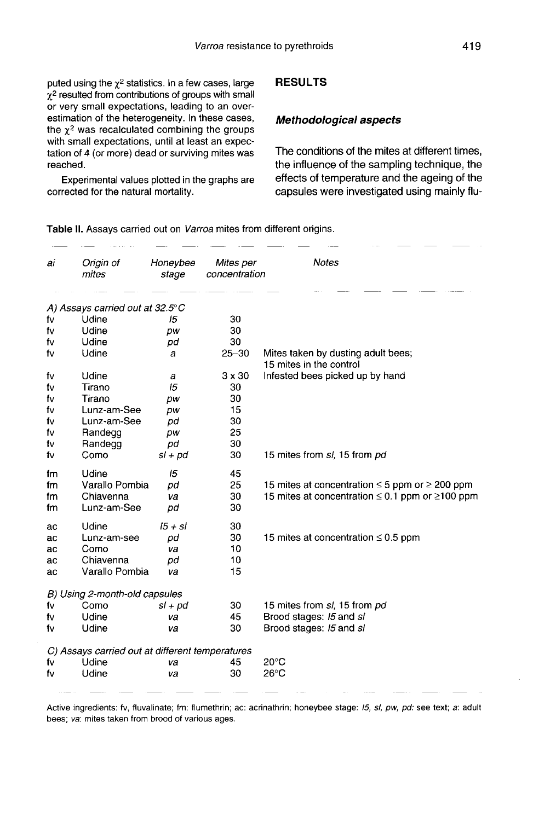puted using the  $\gamma^2$  statistics. In a few cases, large  $\chi^2$  resulted from contributions of groups with small or very small expectations, leading to an overestimation of the heterogeneity. In these cases, the  $y^2$  was recalculated combining the groups with small expectations, until at least an expectation of 4 (or more) dead or surviving mites was reached.

Experimental values plotted in the graphs are corrected for the natural mortality.

## **RESULTS**

#### Methodological aspects

The conditions of the mites at different times, the influence of the sampling technique, the effects of temperature and the ageing of the capsules were investigated using mainly flu-

ai Origin of Honeybee Mites per **Notes** mites stage concentration A) Assays carried out at 32.5°C **Udine** 30 fv  $15$ Udine 30 fv DW 30 Udine fv pd  $25 - 30$ Mites taken by dusting adult bees; fv Udine  $\overline{a}$ 15 mites in the control Udine  $3 \times 30$ Infested bees picked up by hand fv  $\overline{a}$ fv Tirano  $15$ 30 Tirano 30  $f_{12}$ pw fv Lunz-am-See pw 15 Lunz-am-See 30  $f<sub>V</sub>$ pd 25 fv Randegg pw Randegg fv pd 30  $sl + od$ fv Como 30 15 mites from sl. 15 from pd fm Udine  $15$ 45 Varallo Pombia 25 15 mites at concentration  $\leq$  5 ppm or  $\geq$  200 ppm fm pd Chiavenna 30 15 mites at concentration  $\leq$  0.1 ppm or  $\geq$ 100 ppm fm va 30 fm Lunz-am-See pd 30 ac Udine  $15 + s1$ pd ac. Lunz-am-see 30 15 mites at concentration  $\leq$  0.5 ppm Como  $10$ ac. va  $10$ ac. Chiavenna pd Varallo Pombia 15 ac va B) Using 2-month-old capsules fv Como  $sl + pd$ 30 15 mites from sl, 15 from pd fv Udine va 45 Brood stages: 15 and sl  $f_V$ Udine 30 Brood stages: 15 and sl va C) Assays carried out at different temperatures Udine  $20^{\circ}$ C fv va 45 30  $26^{\circ}$ C tv Udine va

Table II. Assays carried out on Varroa mites from different origins.

Active ingredients: fv, fluvalinate; fm; flumethrin; ac: acrinathrin; honeybee stage: I5, sl, pw, pd: see text; a: adult bees; va: mites taken from brood of various ages.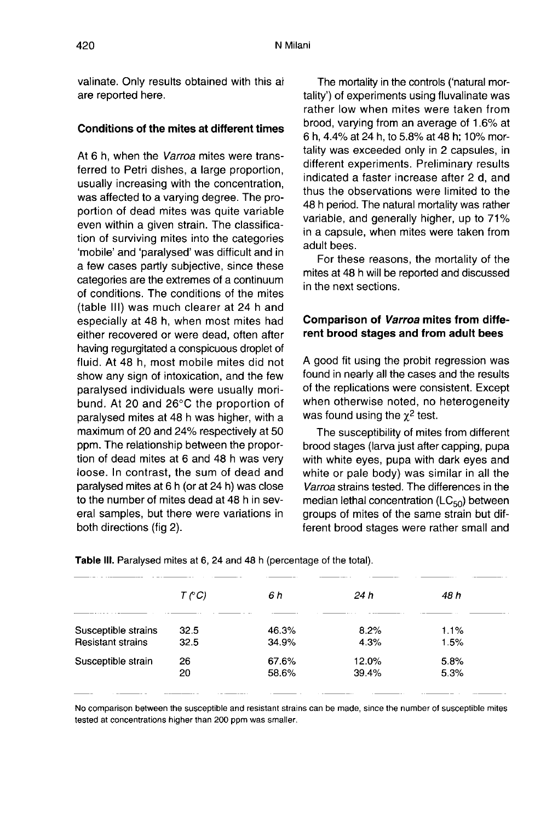valinate. Only results obtained with this ai are reported here.

## Conditions of the mites at different times

At 6 h, when the Varroa mites were transferred to Petri dishes, a large proportion, usually increasing with the concentration, was affected to a varying degree. The proportion of dead mites was quite variable even within a given strain. The classification of surviving mites into the categories 'mobile' and 'paralysed' was difficult and in a few cases partly subjective, since these categories are the extremes of a continuum of conditions. The conditions of the mites (table III) was much clearer at 24 h and especially at 48 h, when most mites had either recovered or were dead, often after having regurgitated a conspicuous droplet of fluid. At 48 h, most mobile mites did not show any sign of intoxication, and the few paralysed individuals were usually moribund. At 20 and 26°C the proportion of paralysed mites at 48 h was higher, with a maximum of 20 and 24% respectively at 50 ppm. The relationship between the proportion of dead mites at 6 and 48 h was very loose. In contrast, the sum of dead and paralysed mites at 6 h (or at 24 h) was close to the number of mites dead at 48 h in several samples, but there were variations in both directions (fig 2).

The mortality in the controls ('natural mortality') of experiments using fluvalinate was rather low when mites were taken from brood, varying from an average of 1.6% at 6 h, 4.4% at 24 h, to 5.8% at 48 h; 10% mortality was exceeded only in 2 capsules, in different experiments. Preliminary results indicated a faster increase after 2 d, and thus the observations were limited to the 48 h period. The natural mortality was rather variable, and generally higher, up to 71% in a capsule, when mites were taken from adult bees.

For these reasons, the mortality of the mites at 48 h will be reported and discussed in the next sections.

## Comparison of Varroa mites from different brood stages and from adult bees

A good fit using the probit regression was found in nearly all the cases and the results of the replications were consistent. Except when otherwise noted, no heterogeneity was found using the  $\chi^2$  test.

The susceptibility of mites from different brood stages (larva just after capping, pupa with white eyes, pupa with dark eyes and white or pale body) was similar in all the Varroa strains tested. The differences in the white or pale body) was similar in all the<br>*Varroa* strains tested. The differences in the<br>median lethal concentration (LC<sub>50</sub>) between<br>groups of mites of the same strain but difgroups of mites of the same strain but different brood stages were rather small and

|                          | T(C) | 6 h   | 24 h  | 48 h |
|--------------------------|------|-------|-------|------|
| Susceptible strains      | 32.5 | 46.3% | 8.2%  | 1.1% |
| <b>Resistant strains</b> | 32.5 | 34.9% | 4.3%  | 1.5% |
| Susceptible strain       | 26   | 67.6% | 12.0% | 5.8% |
|                          | 20   | 58.6% | 39.4% | 5.3% |

Table III. Paralysed mites at 6, 24 and 48 h (percentage of the total).

No comparison between the susceptible and resistant strains can be made, since the number of susceptible mites tested at concentrations higher than 200 ppm was smaller.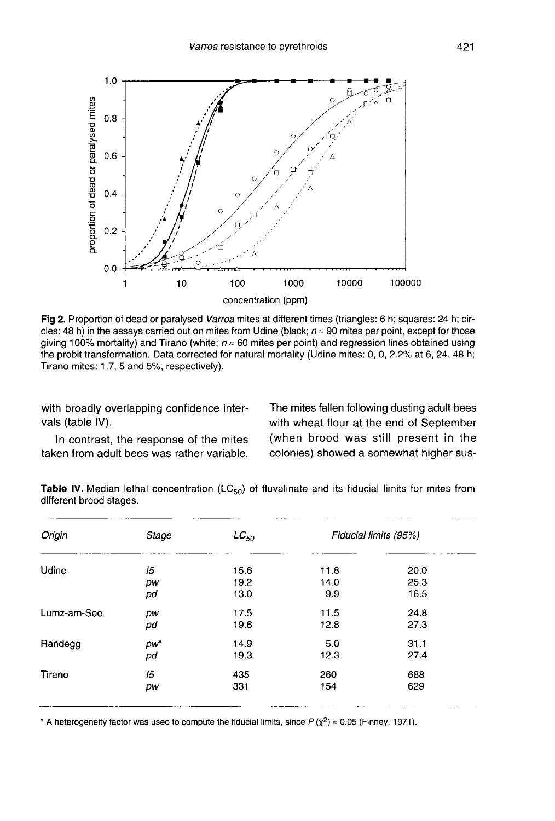

Fig 2. Proportion of dead or paralysed Varroa mites at different times (triangles: 6 h; squares: 24 h; circles: 48 h) in the assays carried out on mites from Udine (black;  $n \approx 90$  mites per point, except for those giving 100% mortality) and Tirano (white;  $n \approx 60$  mites per point) and regression lines obtained using the probit transformation. Data corrected for natural mortality (Udine mites: 0, 0, 2.2% at 6, 24, 48 h; Tirano mites: 1.7, 5 and 5%, respectively).

with broadly overlapping confidence intervals (table IV).

In contrast, the response of the mites taken from adult bees was rather variable.

The mites fallen following dusting adult bees with wheat flour at the end of September (when brood was still present in the colonies) showed a somewhat higher sus-

| different brood stages. |            |           |      |                       |  |  |
|-------------------------|------------|-----------|------|-----------------------|--|--|
| Origin                  | Stage      | $LC_{50}$ |      | Fiducial limits (95%) |  |  |
| Udine                   | 15<br>15.6 |           | 11.8 | 20.0                  |  |  |
|                         | pw         | 19.2      | 14.0 | 25.3                  |  |  |
|                         | pd         | 13.0      | 9.9  | 16.5                  |  |  |
| Lumz-am-See             | pw         | 17.5      | 11.5 | 24.8                  |  |  |
|                         | pd         | 19.6      | 12.8 | 27.3                  |  |  |
| Randegg                 | pw*        | 14.9      | 5.0  | 31.1                  |  |  |
|                         | pd         | 19.3      | 12.3 | 27.4                  |  |  |
| Tirano                  | 15         | 435       | 260  | 688                   |  |  |
|                         | DW         | 331       | 154  | 629                   |  |  |

**Table IV.** Median lethal concentration (LC $_{50}$ ) of fluvalinate and its fiducial limits for mites from

\* A heterogeneity factor was used to compute the fiducial limits, since  $P(\chi^2) \approx 0.05$  (Finney, 1971).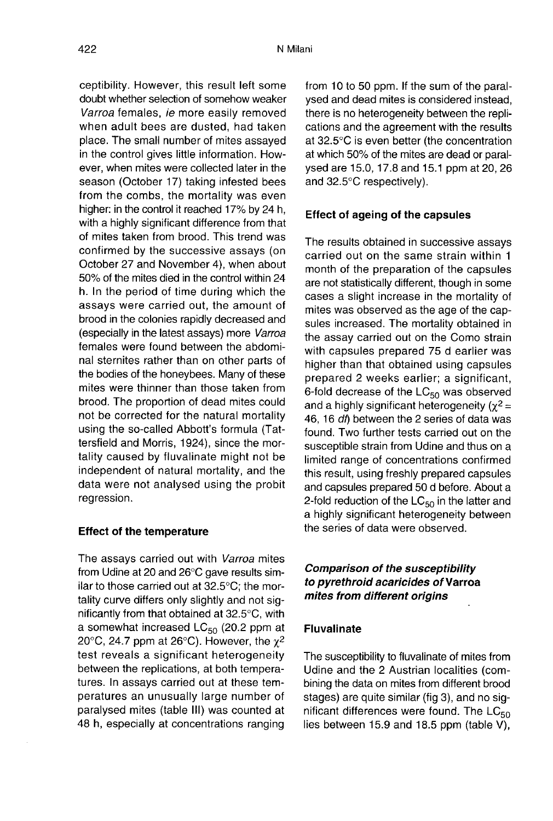ceptibility. However, this result left some doubt whether selection of somehow weaker Varroa females, ie more easily removed when adult bees are dusted, had taken place. The small number of mites assayed in the control gives little information. However, when mites were collected later in the season (October 17) taking infested bees from the combs, the mortality was even higher: in the control it reached 17% by 24 h, with a highly significant difference from that of mites taken from brood. This trend was confirmed by the successive assays (on October 27 and November 4), when about 50% of the mites died in the control within 24 h. In the period of time during which the assays were carried out, the amount of brood in the colonies rapidly decreased and (especially in the latest assays) more Varroa females were found between the abdominal sternites rather than on other parts of the bodies of the honeybees. Many of these mites were thinner than those taken from brood. The proportion of dead mites could not be corrected for the natural mortality using the so-called Abbott's formula (Tattersfield and Morris, 1924), since the mortality caused by fluvalinate might not be independent of natural mortality, and the data were not analysed using the probit regression.

## Effect of the temperature

The assays carried out with Varroa mites from Udine at 20 and 26°C gave results similar to those carried out at 32.5°C; the mortality curve differs only slightly and not significantly from that obtained at 32.5°C, with a somewhat increased  $LC_{50}$  (20.2 ppm at 20 $\degree$ C, 24.7 ppm at 26 $\degree$ C). However, the  $\chi^2$ test reveals a significant heterogeneity between the replications, at both temperatures. In assays carried out at these temperatures an unusually large number of paralysed mites (table III) was counted at 48 h, especially at concentrations ranging from 10 to 50 ppm. If the sum of the paralysed and dead mites is considered instead, there is no heterogeneity between the replications and the agreement with the results at 32.5°C is even better (the concentration at which 50% of the mites are dead or paralysed are 15.0, 17.8 and 15.1 ppm at 20, 26 and 32.5°C respectively).

## Effect of ageing of the capsules

The results obtained in successive assays carried out on the same strain within 1 month of the preparation of the capsules are not statistically different, though in some cases a slight increase in the mortality of mites was observed as the age of the capsules increased. The mortality obtained in the assay carried out on the Como strain with capsules prepared 75 d earlier was higher than that obtained using capsules prepared 2 weeks earlier; a significant, 6-fold decrease of the  $LC_{50}$  was observed and a highly significant heterogeneity ( $\chi^2$  = 46, 16 df) between the 2 series of data was found. Two further tests carried out on the susceptible strain from Udine and thus on a limited range of concentrations confirmed this result, using freshly prepared capsules and capsules prepared 50 d before. About a 2-fold reduction of the  $LC_{50}$  in the latter and a highly significant heterogeneity between the series of data were observed.

## Comparison of the susceptibility to pyrethroid acaricides of Varroa mites from different origins

## Fluvalinate

The susceptibility to fluvalinate of mites from Udine and the 2 Austrian localities (combining the data on mites from different brood stages) are quite similar (fig 3), and no significant differences were found. The  $LC_{50}$ lies between 15.9 and 18.5 ppm (table V),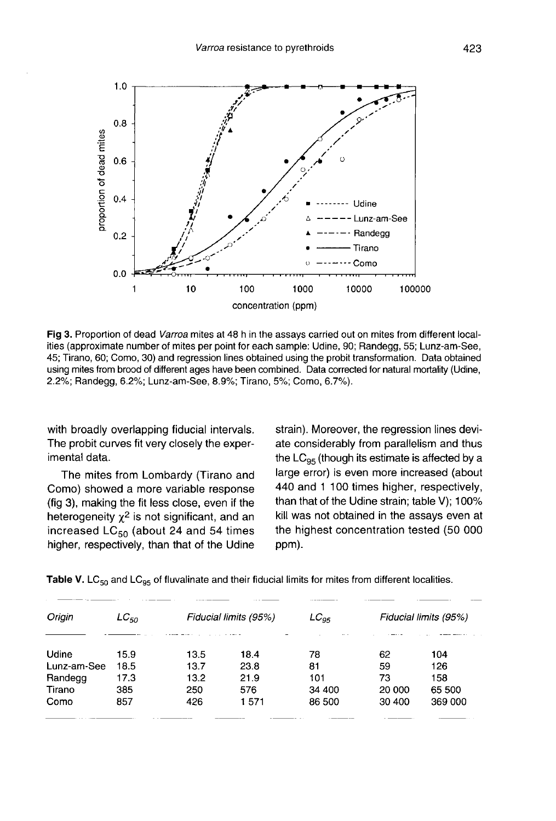

Fig 3. Proportion of dead Varroa mites at 48 h in the assays carried out on mites from different localities (approximate number of mites per point for each sample: Udine, 90; Randegg, 55; Lunz-am-See, 45; Tirano, 60; Como, 30) and regression lines obtained using the probit transformation. Data obtained using mites from brood of different ages have been combined. Data corrected for natural mortality (Udine, 2.2%; Randegg, 6.2%; Lunz-am-See, 8.9%; Tirano, 5%; Como, 6.7%).

with broadly overlapping fiducial intervals. The probit curves fit very closely the experimental data.

The mites from Lombardy (Tirano and Como) showed a more variable response (fig 3), making the fit less close, even if the heterogeneity  $\chi^2$  is not significant, and an increased  $LC_{50}$  (about 24 and 54 times higher, respectively, than that of the Udine

strain). Moreover, the regression lines deviate considerably from parallelism and thus the  $LG_{95}$  (though its estimate is affected by a large error) is even more increased (about 440 and 1 100 times higher, respectively, than that of the Udine strain; table V); 100% kill was not obtained in the assays even at the highest concentration tested (50 000 ppm).

| Origin      | $LC_{50}$ |      | Fiducial limits (95%) | $LC_{95}$    | Fiducial limits (95%) |         |
|-------------|-----------|------|-----------------------|--------------|-----------------------|---------|
| Udine       | 15.9      | 13.5 | .<br>18.4             | 11. 11<br>78 | 62                    | 104     |
| Lunz-am-See | 18.5      | 13.7 | 23.8                  | 81           | 59                    | 126     |
| Randegg     | 17.3      | 13.2 | 21.9                  | 101          | 73                    | 158     |
| Tirano      | 385       | 250  | 576                   | 34 400       | 20 000                | 65 500  |
| Como        | 857       | 426  | 1 571                 | 86 500       | 30 400                | 369 000 |

Table V.  $LC_{50}$  and  $LC_{95}$  of fluvalinate and their fiducial limits for mites from different localities.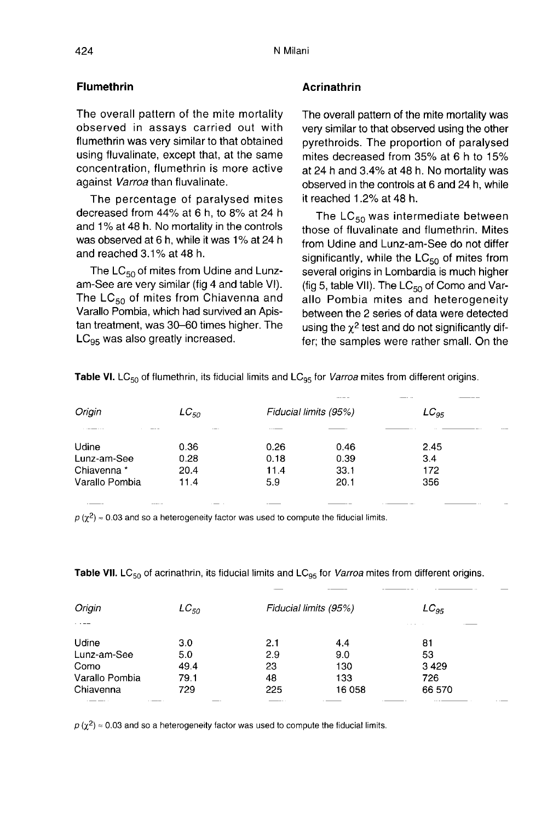## Flumethrin

The overall pattern of the mite mortality observed in assays carried out with flumethrin was very similar to that obtained using fluvalinate, except that, at the same concentration, flumethrin is more active against Varroa than fluvalinate.

The percentage of paralysed mites decreased from 44% at 6 h, to 8% at 24 h and 1% at 48 h. No mortality in the controls was observed at 6 h, while it was 1% at 24 h and reached 3.1% at 48 h.

The  $LC_{50}$  of mites from Udine and Lunzam-See are very similar (fig 4 and table VI). The  $LC_{50}$  of mites from Chiavenna and Varallo Pombia, which had survived an Apis tan treatment, was 30-60 times higher. The  $LC<sub>95</sub>$  was also greatly increased.

## Acrinathrin

The overall pattern of the mite mortality was very similar to that observed using the other pyrethroids. The proportion of paralysed mites decreased from 35% at 6 h to 15% at 24 h and 3.4% at 48 h. No mortality was observed in the controls at 6 and 24 h, while it reached 1.2% at 48 h.

The  $LC_{50}$  was intermediate between those of fluvalinate and flumethrin. Mites from Udine and Lunz-am-See do not differ significantly, while the  $LC_{50}$  of mites from several origins in Lombardia is much higher (fig 5, table VII). The  $LC_{50}$  of Como and Varallo Pombia mites and heterogeneity between the 2 series of data were detected using the  $\chi^2$  test and do not significantly differ; the samples were rather small. On the

| Origin                 | $LC_{50}$ | ----<br>Fiducial limits (95%) |      | $LC_{95}$ |  |
|------------------------|-----------|-------------------------------|------|-----------|--|
|                        | $\sim$    |                               |      |           |  |
| Udine                  | 0.36      | 0.26                          | 0.46 | 2.45      |  |
| Lunz-am-See            | 0.28      | 0.18                          | 0.39 | 3.4       |  |
| Chiavenna <sup>*</sup> | 20.4      | 11.4                          | 33.1 | 172       |  |
| Varallo Pombia         | 11.4      | 5.9                           | 20.1 | 356       |  |
|                        |           |                               |      |           |  |

Table VI. LC<sub>50</sub> of flumethrin, its fiducial limits and LC<sub>95</sub> for Varroa mites from different origins.

 $p (x^2) \approx 0.03$  and so a heterogeneity factor was used to compute the fiducial limits.

Table VII. LC<sub>50</sub> of acrinathrin, its fiducial limits and LC<sub>95</sub> for Varroa mites from different origins.

| Origin                                                             | $LC_{50}$ | Fiducial limits (95%) |        | $LC_{q5}$          |  |
|--------------------------------------------------------------------|-----------|-----------------------|--------|--------------------|--|
| Udine                                                              | 3.0       | 2.1                   | 4.4    | .<br>81            |  |
| Lunz-am-See                                                        | 5.0       | 2.9                   | 9.0    | 53                 |  |
| Como                                                               | 49.4      | 23                    | 130    | 3429               |  |
| Varallo Pombia                                                     | 79.1      | 48                    | 133    | 726                |  |
| Chiavenna<br>$\sim$ $     -$<br>$\sim$ $\sim$ $\sim$ $\sim$ $\sim$ | 729<br>__ | 225<br>_____          | 16 058 | 66 570<br>$\cdots$ |  |

 $p(\chi^2) \approx 0.03$  and so a heterogeneity factor was used to compute the fiducial limits.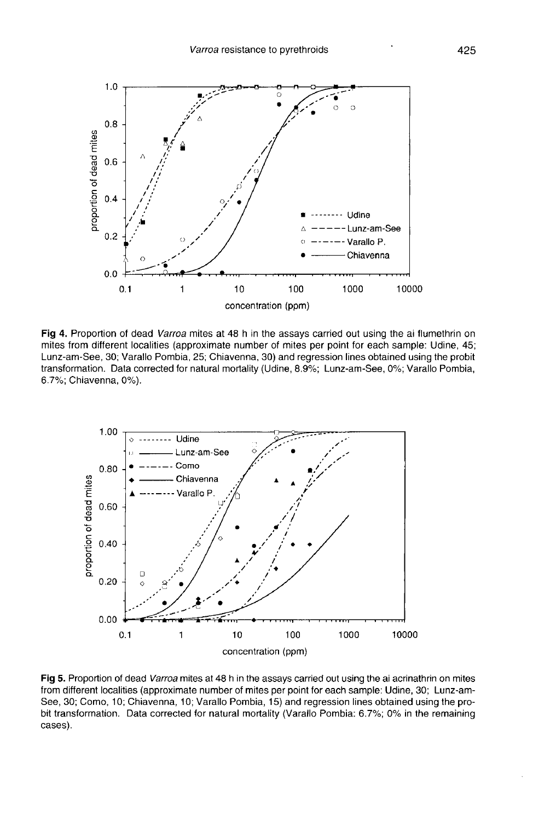

Fig 4. Proportion of dead Varroa mites at 48 h in the assays carried out using the ai flumethrin on mites from different localities (approximate number of mites per point for each sample: Udine, 45; Lunz-am-See, 30; Varallo Pombia, 25; Chiavenna, 30) and regression lines obtained using the probit transformation. Data corrected for natural mortality (Udine, 8.9%; Lunz-am-See, 0%; Varallo Pombia, 6.7%; Chiavenna, 0%).



Fig 5. Proportion of dead Varroa mites at 48 h in the assays carried out using the ai acrinathrin on mites from different localities (approximate number of mites per point for each sample: Udine, 30; Lunz-am-See, 30; Como, 10; Chiavenna, 10; Varallo Pombia, 15) and regression lines obtained using the probit transformation. Data corrected for natural mortality (Varallo Pombia: 6.7%; 0% in the remaining cases).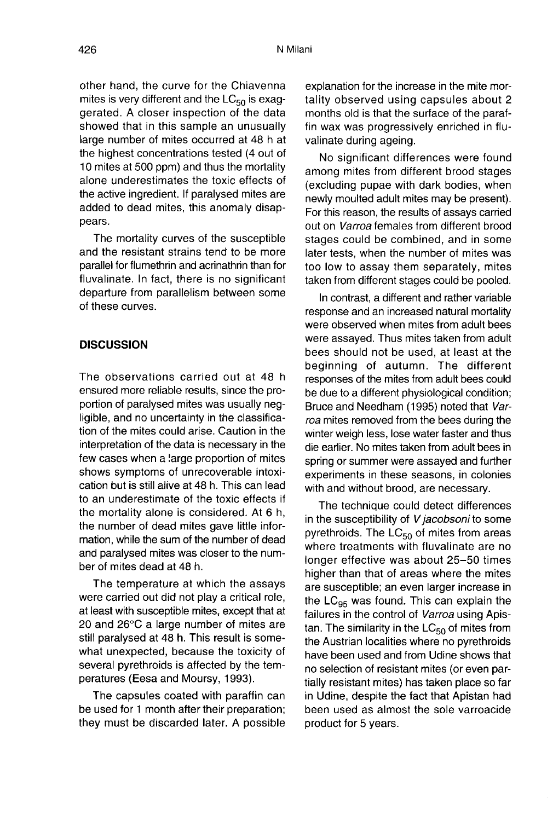other hand, the curve for the Chiavenna mites is very different and the  $LC_{50}$  is exaggerated. A closer inspection of the data showed that in this sample an unusually large number of mites occurred at 48 h at the highest concentrations tested (4 out of 10 mites at 500 ppm) and thus the mortality alone underestimates the toxic effects of the active ingredient. If paralysed mites are added to dead mites, this anomaly disappears.

The mortality curves of the susceptible and the resistant strains tend to be more parallel for flumethrin and acrinathrin than for fluvalinate. In fact, there is no significant departure from parallelism between some of these curves.

## **DISCUSSION**

The observations carried out at 48 h ensured more reliable results, since the proportion of paralysed mites was usually negligible, and no uncertainty in the classification of the mites could arise. Caution in the interpretation of the data is necessary in the few cases when a large proportion of mites shows symptoms of unrecoverable intoxication but is still alive at 48 h. This can lead to an underestimate of the toxic effects if the mortality alone is considered. At 6 h, the number of dead mites gave little information, while the sum of the number of dead and paralysed mites was closer to the number of mites dead at 48 h.

The temperature at which the assays were carried out did not play a critical role, at least with susceptible mites, except that at 20 and 26°C a large number of mites are still paralysed at 48 h. This result is somewhat unexpected, because the toxicity of several pyrethroids is affected by the temperatures (Eesa and Moursy, 1993).

The capsules coated with paraffin can be used for 1 month after their preparation; they must be discarded later. A possible

explanation for the increase in the mite mortality observed using capsules about 2 months old is that the surface of the paraffin wax was progressively enriched in fluvalinate during ageing.

No significant differences were found among mites from different brood stages (excluding pupae with dark bodies, when newly moulted adult mites may be present). For this reason, the results of assays carried out on Varroa females from different brood stages could be combined, and in some later tests, when the number of mites was too low to assay them separately, mites taken from different stages could be pooled.

In contrast, a different and rather variable response and an increased natural mortality were observed when mites from adult bees were assayed. Thus mites taken from adult bees should not be used, at least at the beginning of autumn. The different responses of the mites from adult bees could be due to a different physiological condition; Bruce and Needham (1995) noted that Varroa mites removed from the bees during the winter weigh less, lose water faster and thus die earlier. No mites taken from adult bees in spring or summer were assayed and further experiments in these seasons, in colonies with and without brood, are necessary.

The technique could detect differences in the susceptibility of V jacobsoni to some pyrethroids. The  $LC_{50}$  of mites from areas where treatments with fluvalinate are no longer effective was about 25-50 times higher than that of areas where the mites are susceptible; an even larger increase in the  $LC_{95}$  was found. This can explain the failures in the control of *Varroa* using Apistan. The similarity in the  $LC_{50}$  of mites from the Austrian localities where no pyrethroids have been used and from Udine shows that no selection of resistant mites (or even partially resistant mites) has taken place so far in Udine, despite the fact that Apistan had been used as almost the sole varroacide product for 5 years.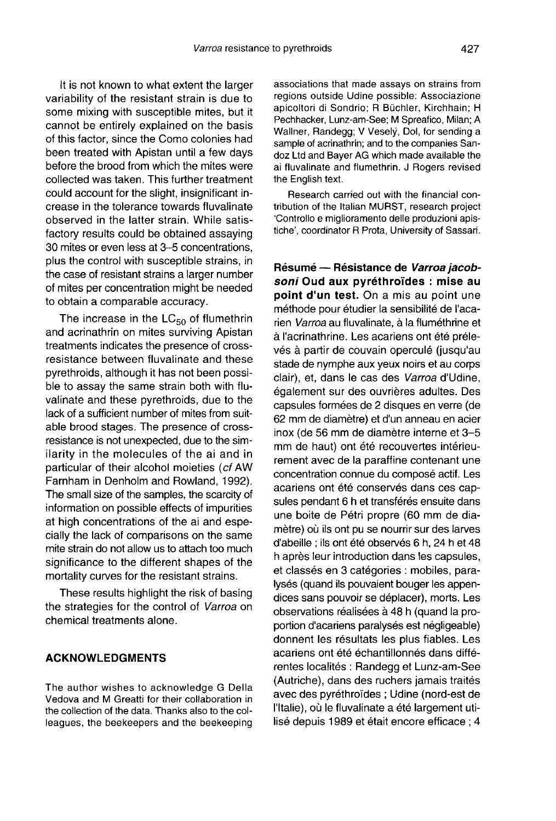It is not known to what extent the larger variability of the resistant strain is due to some mixing with susceptible mites, but it cannot be entirely explained on the basis of this factor, since the Como colonies had been treated with Apistan until a few days before the brood from which the mites were collected was taken. This further treatment could account for the slight, insignificant increase in the tolerance towards fluvalinate observed in the latter strain. While satisfactory results could be obtained assaying 30 mites or even less at 3-5 concentrations, plus the control with susceptible strains, in the case of resistant strains a larger number of mites per concentration might be needed to obtain a comparable accuracy.

The increase in the  $LC_{50}$  of flumethrin and acrinathrin on mites surviving Apistan treatments indicates the presence of crossresistance between fluvalinate and these pyrethroids, although it has not been possible to assay the same strain both with fluvalinate and these pyrethroids, due to the lack of a sufficient number of mites from suitable brood stages. The presence of crossresistance is not unexpected, due to the similarity in the molecules of the ai and in particular of their alcohol moieties (cf AW Farnham in Denholm and Rowland, 1992). The small size of the samples, the scarcity of information on possible effects of impurities at high concentrations of the ai and especially the lack of comparisons on the same mite strain do not allow us to attach too much significance to the different shapes of the mortality curves for the resistant strains.

These results highlight the risk of basing the strategies for the control of Varroa on chemical treatments alone.

## ACKNOWLEDGMENTS

The author wishes to acknowledge G Della Vedova and M Greatti for their collaboration in the collection of the data. Thanks also to the colleagues, the beekeepers and the beekeeping associations that made assays on strains from regions outside Udine possible: Associazione apicoltori di Sondrio; R Büchler, Kirchhain; H Pechhacker, Lunz-am-See; M Spreafico, Milan; A Wallner, Randegg; V Vesely, Dol, for sending a sample of acrinathrin; and to the companies Sandoz Ltd and Bayer AG which made available the ai fluvalinate and flumethrin. J Rogers revised the English text.

Research carried out with the financial contribution of the Italian MURST, research project 'Controllo e miglioramento delle produzioni apistiche', coordinator R Prota, University of Sassari.

Résumé — Résistance de Varroa jacobsoni Oud aux pyréthroïdes : mise au point d'un test. On a mis au point une méthode pour étudier la sensibilité de l'acarien Varroa au fluvalinate, à la fluméthrine et à l'acrinathrine. Les acariens ont été prélevés à partir de couvain operculé (jusqu'au stade de nymphe aux yeux noirs et au corps clair), et, dans le cas des Varroa d'Udine, également sur des ouvrières adultes. Des capsules formées de 2 disques en verre (de 62 mm de diamètre) et d'un anneau en acier inox (de 56 mm de diamètre interne et 3-5 mm de haut) ont été recouvertes intérieurement avec de la paraffine contenant une concentration connue du composé actif. Les acariens ont été conservés dans ces capsules pendant 6 h et transférés ensuite dans une boite de Pétri propre (60 mm de diamètre) où ils ont pu se nourrir sur des larves d'abeille ; ils ont été observés 6 h, 24 h et 48 h après leur introduction dans les capsules, et classés en 3 catégories : mobiles, paralysés (quand ils pouvaient bouger les appendices sans pouvoir se déplacer), morts. Les observations réalisées à 48 h (quand la proportion d'acariens paralysés est négligeable) donnent les résultats les plus fiables. Les acariens ont été échantillonnés dans différentes localités : Randegg et Lunz-am-See (Autriche), dans des ruchers jamais traités avec des pyréthroïdes ; Udine (nord-est de l'Italie), où le fluvalinate a été largement utilisé depuis 1989 et était encore efficace ; 4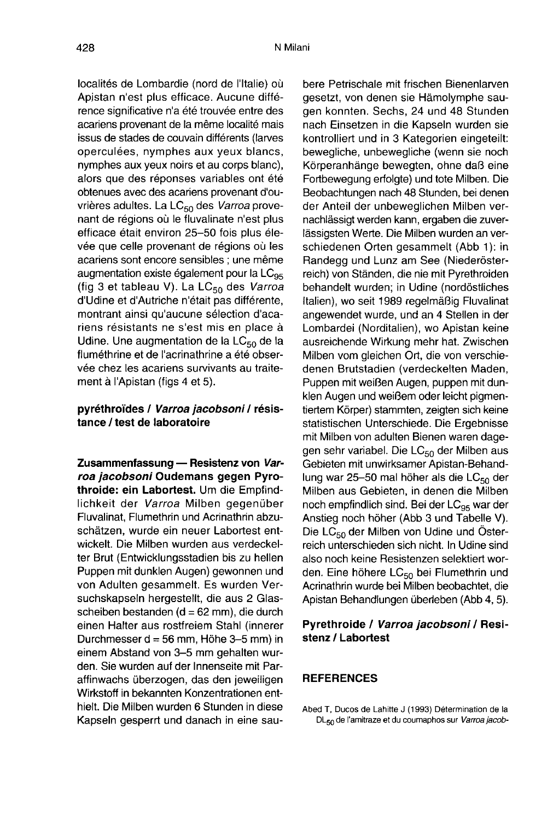localités de Lombardie (nord de l'Italie) où Apistan n'est plus efficace. Aucune différence significative n'a été trouvée entre des acariens provenant de la même localité mais issus de stades de couvain différents (larves operculées, nymphes aux yeux blancs, nymphes aux yeux noirs et au corps blanc), alors que des réponses variables ont été obtenues avec des acariens provenant d'ouvrières adultes. La LC<sub>50</sub> des Varroa provenant de régions où le fluvalinate n'est plus efficace était environ 25-50 fois plus élevée que celle provenant de régions où les acariens sont encore sensibles ; une même augmentation existe également pour la LC<sub>95</sub> (fig 3 et tableau V). La LC $_{50}$  des Varroa d'Udine et d'Autriche n'était pas différente, montrant ainsi qu'aucune sélection d'acariens résistants ne s'est mis en place à Udine. Une augmentation de la  $LC_{50}$  de la fluméthrine et de l'acrinathrine a été observée chez les acariens survivants au traitement à l'Apistan (figs 4 et 5).

## pyréthroïdes / Varroa jacobsoni / résistance / test de laboratoire

Zusammenfassung — Resistenz von Varroa jacobsoni Oudemans gegen Pyrothroide: ein Labortest. Um die Empfindlichkeit der Varroa Milben gegenüber Fluvalinat, Flumethrin und Acrinathrin abzuschätzen, wurde ein neuer Labortest entwickelt. Die Milben wurden aus verdeckelter Brut (Entwicklungsstadien bis zu hellen Puppen mit dunklen Augen) gewonnen und von Adulten gesammelt. Es wurden Versuchskapseln hergestellt, die aus 2 Glasscheiben bestanden (d =  $62$  mm), die durch einen Halter aus rostfreiem Stahl (innerer Durchmesser d = 56 mm, Höhe 3-5 mm) in einem Abstand von 3-5 mm gehalten wurden. Sie wurden auf der Innenseite mit Paraffinwachs überzogen, das den jeweiligen Wirkstoff in bekannten Konzentrationen enthielt. Die Milben wurden 6 Stunden in diese Kapseln gesperrt und danach in eine saubere Petrischale mit frischen Bienenlarven gesetzt, von denen sie Hämolymphe saugen konnten. Sechs, 24 und 48 Stunden nach Einsetzen in die Kapseln wurden sie kontrolliert und in 3 Kategorien eingeteilt: bewegliche, unbewegliche (wenn sie noch Körperanhänge bewegten, ohne daß eine Fortbewegung erfolgte) und tote Milben. Die Beobachtungen nach 48 Stunden, bei denen der Anteil der unbeweglichen Milben vernachlässigt werden kann, ergaben die zuverlässigsten Werte. Die Milben wurden an verschiedenen Orten gesammelt (Abb 1): in Randegg und Lunz am See (Niederösterreich) von Ständen, die nie mit Pyrethroiden behandelt wurden; in Udine (nordöstliches Italien), wo seit 1989 regelmäßig Fluvalinat angewendet wurde, und an 4 Stellen in der Lombardei (Norditalien), wo Apistan keine ausreichende Wirkung mehr hat. Zwischen Milben vom gleichen Ort, die von verschiedenen Brutstadien (verdeckelten Maden, Puppen mit weißen Augen, puppen mit dunklen Augen und weißem oder leicht pigmentiertem Körper) stammten, zeigten sich keine statistischen Unterschiede. Die Ergebnisse mit Milben von adulten Bienen waren dagegen sehr variabel. Die LC<sub>50</sub> der Milben aus Gebieten mit unwirksamer Apistan-Behandlung war 25-50 mal höher als die LC $_{50}$  der Milben aus Gebieten, in denen die Milben noch empfindlich sind. Bei der LC<sub>95</sub> war der Anstieg noch höher (Abb 3 und Tabelle V). Die LC<sub>50</sub> der Milben von Udine und Österreich unterschieden sich nicht. In Udine sind also noch keine Resistenzen selektiert worden. Eine höhere LC<sub>50</sub> bei Flumethrin und Acrinathrin wurde bei Milben beobachtet, die Apistan Behandlungen überleben (Abb 4, 5).

## Pyrethroide / Varroa jacobsoni / Resistenz / Labortest

#### REFERENCES

Abed T, Ducos de Lahitte J (1993) Détermination de la DL<sub>50</sub> de l'amitraze et du coumaphos sur Varroa jacob-